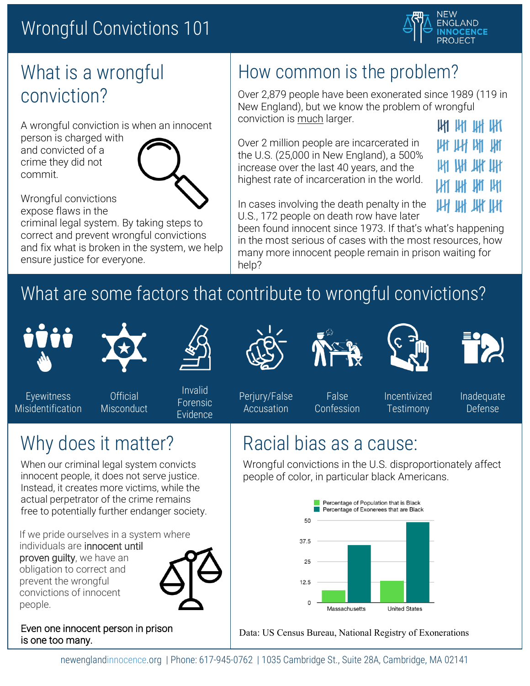#### Wrongful Convictions 101



#### What is a wrongful conviction?

A wrongful conviction is when an innocent

person is charged with and convicted of a crime they did not commit.



Wrongful convictions expose flaws in the

criminal legal system. By taking steps to correct and prevent wrongful convictions and fix what is broken in the system, we help ensure justice for everyone.

#### How common is the problem?

Over 2,879 people have been exonerated since 1989 (119 in New England), but we know the problem of wrongful conviction is much larger.

Over 2 million people are incarcerated in the U.S. (25,000 in New England), a 500% increase over the last 40 years, and the highest rate of incarceration in the world.

| AYI AYI AH AKI |  |
|----------------|--|
| и и м и        |  |
| ии ин ин ин    |  |
| ии ин им ин    |  |

 $\mathsf{u}$   $\mathsf{u}$   $\mathsf{u}$   $\mathsf{u}$   $\mathsf{u}$   $\mathsf{u}$ 

In cases involving the death penalty in the U.S., 172 people on death row have later

been found innocent since 1973. If that's what's happening in the most serious of cases with the most resources, how many more innocent people remain in prison waiting for help?

## What are some factors that contribute to wrongful convictions?





Eyewitness Misidentification

**Official Misconduct** 

Invalid Forensic Evidence

Perjury/False Accusation

False Confession Incentivized **Testimony** 

Inadequate Defense

#### Racial bias as a cause:

Wrongful convictions in the U.S. disproportionately affect people of color, in particular black Americans.



Data: US Census Bureau, National Registry of Exonerations

Why does it matter?

When our criminal legal system convicts innocent people, it does not serve justice. Instead, it creates more victims, while the actual perpetrator of the crime remains free to potentially further endanger society.

If we pride ourselves in a system where

individuals are innocent until proven quilty, we have an obligation to correct and prevent the wrongful convictions of innocent people.



Even one innocent person in prison is one too many.